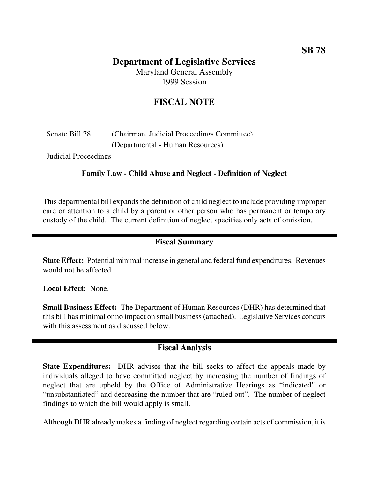# **Department of Legislative Services**

Maryland General Assembly 1999 Session

# **FISCAL NOTE**

# Senate Bill 78 (Chairman, Judicial Proceedings Committee) (Departmental - Human Resources)

Judicial Proceedings

#### **Family Law - Child Abuse and Neglect - Definition of Neglect**

This departmental bill expands the definition of child neglect to include providing improper care or attention to a child by a parent or other person who has permanent or temporary custody of the child. The current definition of neglect specifies only acts of omission.

## **Fiscal Summary**

**State Effect:** Potential minimal increase in general and federal fund expenditures. Revenues would not be affected.

**Local Effect:** None.

**Small Business Effect:** The Department of Human Resources (DHR) has determined that this bill has minimal or no impact on small business(attached). Legislative Services concurs with this assessment as discussed below.

## **Fiscal Analysis**

**State Expenditures:** DHR advises that the bill seeks to affect the appeals made by individuals alleged to have committed neglect by increasing the number of findings of neglect that are upheld by the Office of Administrative Hearings as "indicated" or "unsubstantiated" and decreasing the number that are "ruled out". The number of neglect findings to which the bill would apply is small.

Although DHR already makes a finding of neglect regarding certain acts of commission, it is